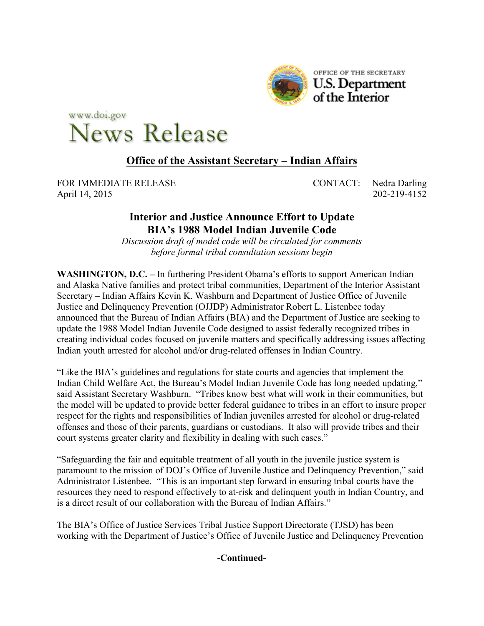

www.doi.gov **News Release** 

# **Office of the Assistant Secretary – Indian Affairs**

FOR IMMEDIATE RELEASE CONTACT: Nedra Darling April 14, 2015 202-219-4152

# **Interior and Justice Announce Effort to Update BIA's 1988 Model Indian Juvenile Code**

*Discussion draft of model code will be circulated for comments before formal tribal consultation sessions begin*

**WASHINGTON, D.C. –** In furthering President Obama's efforts to support American Indian and Alaska Native families and protect tribal communities, Department of the Interior Assistant Secretary – Indian Affairs Kevin K. Washburn and Department of Justice Office of Juvenile Justice and Delinquency Prevention (OJJDP) Administrator Robert L. Listenbee today announced that the Bureau of Indian Affairs (BIA) and the Department of Justice are seeking to update the 1988 Model Indian Juvenile Code designed to assist federally recognized tribes in creating individual codes focused on juvenile matters and specifically addressing issues affecting Indian youth arrested for alcohol and/or drug-related offenses in Indian Country.

"Like the BIA's guidelines and regulations for state courts and agencies that implement the Indian Child Welfare Act, the Bureau's Model Indian Juvenile Code has long needed updating," said Assistant Secretary Washburn. "Tribes know best what will work in their communities, but the model will be updated to provide better federal guidance to tribes in an effort to insure proper respect for the rights and responsibilities of Indian juveniles arrested for alcohol or drug-related offenses and those of their parents, guardians or custodians. It also will provide tribes and their court systems greater clarity and flexibility in dealing with such cases."

"Safeguarding the fair and equitable treatment of all youth in the juvenile justice system is paramount to the mission of DOJ's Office of Juvenile Justice and Delinquency Prevention," said Administrator Listenbee. "This is an important step forward in ensuring tribal courts have the resources they need to respond effectively to at-risk and delinquent youth in Indian Country, and is a direct result of our collaboration with the Bureau of Indian Affairs."

The BIA's Office of Justice Services Tribal Justice Support Directorate (TJSD) has been working with the Department of Justice's Office of Juvenile Justice and Delinquency Prevention

**-Continued-**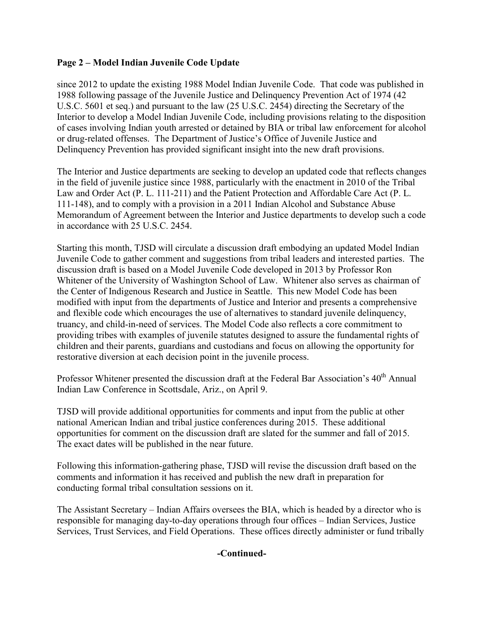## **Page 2 – Model Indian Juvenile Code Update**

since 2012 to update the existing 1988 Model Indian Juvenile Code. That code was published in 1988 following passage of the Juvenile Justice and Delinquency Prevention Act of 1974 (42 U.S.C. 5601 et seq.) and pursuant to the law (25 U.S.C. 2454) directing the Secretary of the Interior to develop a Model Indian Juvenile Code, including provisions relating to the disposition of cases involving Indian youth arrested or detained by BIA or tribal law enforcement for alcohol or drug-related offenses. The Department of Justice's Office of Juvenile Justice and Delinquency Prevention has provided significant insight into the new draft provisions.

The Interior and Justice departments are seeking to develop an updated code that reflects changes in the field of juvenile justice since 1988, particularly with the enactment in 2010 of the Tribal Law and Order Act (P. L. 111-211) and the Patient Protection and Affordable Care Act (P. L. 111-148), and to comply with a provision in a 2011 Indian Alcohol and Substance Abuse Memorandum of Agreement between the Interior and Justice departments to develop such a code in accordance with 25 U.S.C. 2454.

Starting this month, TJSD will circulate a discussion draft embodying an updated Model Indian Juvenile Code to gather comment and suggestions from tribal leaders and interested parties. The discussion draft is based on a Model Juvenile Code developed in 2013 by Professor Ron Whitener of the University of Washington School of Law. Whitener also serves as chairman of the Center of Indigenous Research and Justice in Seattle. This new Model Code has been modified with input from the departments of Justice and Interior and presents a comprehensive and flexible code which encourages the use of alternatives to standard juvenile delinquency, truancy, and child-in-need of services. The Model Code also reflects a core commitment to providing tribes with examples of juvenile statutes designed to assure the fundamental rights of children and their parents, guardians and custodians and focus on allowing the opportunity for restorative diversion at each decision point in the juvenile process.

Professor Whitener presented the discussion draft at the Federal Bar Association's 40<sup>th</sup> Annual Indian Law Conference in Scottsdale, Ariz., on April 9.

TJSD will provide additional opportunities for comments and input from the public at other national American Indian and tribal justice conferences during 2015. These additional opportunities for comment on the discussion draft are slated for the summer and fall of 2015. The exact dates will be published in the near future.

Following this information-gathering phase, TJSD will revise the discussion draft based on the comments and information it has received and publish the new draft in preparation for conducting formal tribal consultation sessions on it.

The Assistant Secretary – Indian Affairs oversees the BIA, which is headed by a director who is responsible for managing day-to-day operations through four offices – Indian Services, Justice Services, Trust Services, and Field Operations. These offices directly administer or fund tribally

### **-Continued-**